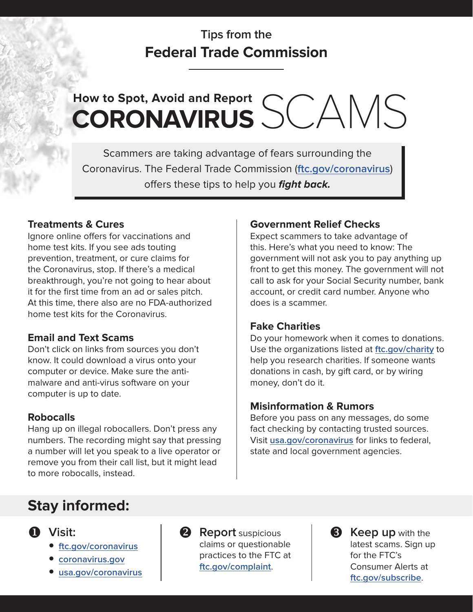# **Tips from the Federal Trade Commission**

# How to Spot, Avoid and Report<br> **CORONAVIRUS** SCAMS

Scammers are taking advantage of fears surrounding the Coronavirus. The Federal Trade Commission (**[ftc.gov/coronavirus](http://ftc.gov/coronavirus)**) offers these tips to help you **fight back.**

## **Treatments & Cures**

Ignore online offers for vaccinations and home test kits. If you see ads touting prevention, treatment, or cure claims for the Coronavirus, stop. If there's a medical breakthrough, you're not going to hear about it for the first time from an ad or sales pitch. At this time, there also are no FDA-authorized home test kits for the Coronavirus.

## **Email and Text Scams**

Don't click on links from sources you don't know. It could download a virus onto your computer or device. Make sure the antimalware and anti-virus software on your computer is up to date.

## **Robocalls**

Hang up on illegal robocallers. Don't press any numbers. The recording might say that pressing a number will let you speak to a live operator or remove you from their call list, but it might lead to more robocalls, instead.

# **Government Relief Checks**

Expect scammers to take advantage of this. Here's what you need to know: The government will not ask you to pay anything up front to get this money. The government will not call to ask for your Social Security number, bank account, or credit card number. Anyone who does is a scammer.

## **Fake Charities**

Do your homework when it comes to donations. Use the organizations listed at **[ftc.gov/charity](http://ftc.gov/charity)** to help you research charities. If someone wants donations in cash, by gift card, or by wiring money, don't do it.

## **Misinformation & Rumors**

Before you pass on any messages, do some fact checking by contacting trusted sources. Visit **[usa.gov/coronavirus](http://usa.gov/coronavirus)** for links to federal, state and local government agencies.

# **Stay informed:**



- **[ftc.gov/coronavirus](http://ftc.gov/coronavirus)**
- **[coronavirus.gov](http://coronavirus.gov)**
- **[usa.gov/coronavirus](http://usa.gov/coronavirus)**



**2** Report suspicious claims or questionable practices to the FTC at **[ftc.gov/complaint](http://ftc.gov/complaint)**.



**8** Keep up with the latest scams. Sign up for the FTC's Consumer Alerts at **[ftc.gov/subscribe](http://ftc.gov/subscribe)**.